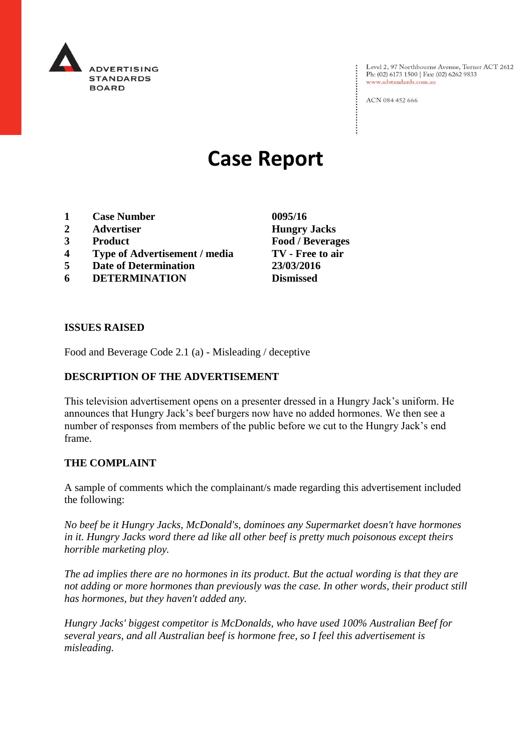

Level 2, 97 Northbourne Avenue, Turner ACT 2612 Ph: (02) 6173 1500 | Fax: (02) 6262 9833 www.adstandards.com.au

ACN 084 452 666

# **Case Report**

- **1 Case Number 0095/16**
- **2 Advertiser Hungry Jacks**
- **3 Product Food / Beverages**
- **4 Type of Advertisement / media TV - Free to air**
- **5 Date of Determination 23/03/2016**
- **6 DETERMINATION Dismissed**

**ISSUES RAISED**

Food and Beverage Code 2.1 (a) - Misleading / deceptive

### **DESCRIPTION OF THE ADVERTISEMENT**

This television advertisement opens on a presenter dressed in a Hungry Jack's uniform. He announces that Hungry Jack's beef burgers now have no added hormones. We then see a number of responses from members of the public before we cut to the Hungry Jack's end frame.

#### **THE COMPLAINT**

A sample of comments which the complainant/s made regarding this advertisement included the following:

*No beef be it Hungry Jacks, McDonald's, dominoes any Supermarket doesn't have hormones in it. Hungry Jacks word there ad like all other beef is pretty much poisonous except theirs horrible marketing ploy.*

*The ad implies there are no hormones in its product. But the actual wording is that they are not adding or more hormones than previously was the case. In other words, their product still has hormones, but they haven't added any.*

*Hungry Jacks' biggest competitor is McDonalds, who have used 100% Australian Beef for several years, and all Australian beef is hormone free, so I feel this advertisement is misleading.*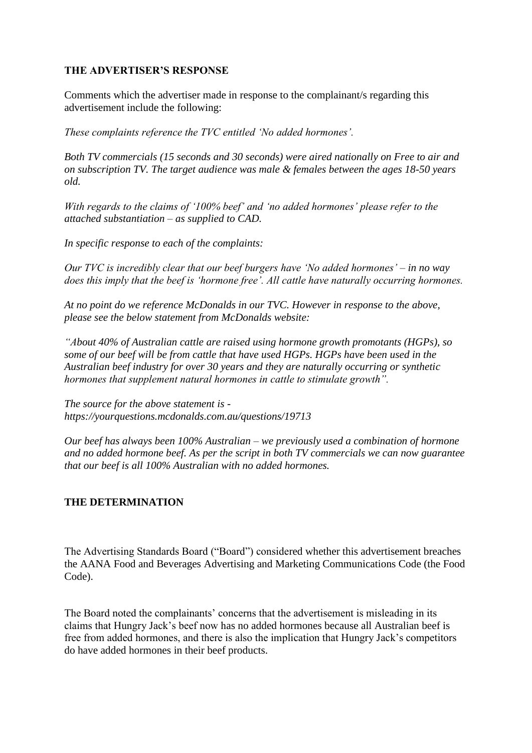## **THE ADVERTISER'S RESPONSE**

Comments which the advertiser made in response to the complainant/s regarding this advertisement include the following:

*These complaints reference the TVC entitled 'No added hormones'.*

*Both TV commercials (15 seconds and 30 seconds) were aired nationally on Free to air and on subscription TV. The target audience was male & females between the ages 18-50 years old.*

*With regards to the claims of '100% beef' and 'no added hormones' please refer to the attached substantiation – as supplied to CAD.*

*In specific response to each of the complaints:*

*Our TVC is incredibly clear that our beef burgers have 'No added hormones' – in no way does this imply that the beef is 'hormone free'. All cattle have naturally occurring hormones.*

*At no point do we reference McDonalds in our TVC. However in response to the above, please see the below statement from McDonalds website:*

*"About 40% of Australian cattle are raised using hormone growth promotants (HGPs), so some of our beef will be from cattle that have used HGPs. HGPs have been used in the Australian beef industry for over 30 years and they are naturally occurring or synthetic hormones that supplement natural hormones in cattle to stimulate growth".*

*The source for the above statement is https://yourquestions.mcdonalds.com.au/questions/19713*

*Our beef has always been 100% Australian – we previously used a combination of hormone and no added hormone beef. As per the script in both TV commercials we can now guarantee that our beef is all 100% Australian with no added hormones.*

## **THE DETERMINATION**

The Advertising Standards Board ("Board") considered whether this advertisement breaches the AANA Food and Beverages Advertising and Marketing Communications Code (the Food Code).

The Board noted the complainants' concerns that the advertisement is misleading in its claims that Hungry Jack's beef now has no added hormones because all Australian beef is free from added hormones, and there is also the implication that Hungry Jack's competitors do have added hormones in their beef products.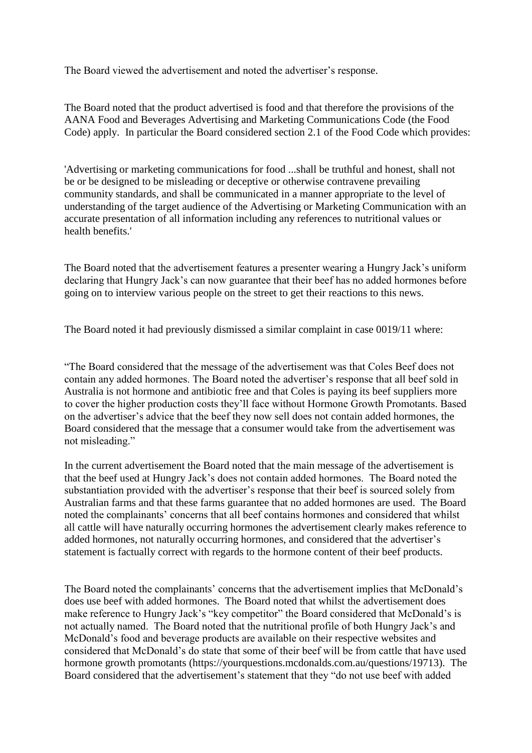The Board viewed the advertisement and noted the advertiser's response.

The Board noted that the product advertised is food and that therefore the provisions of the AANA Food and Beverages Advertising and Marketing Communications Code (the Food Code) apply. In particular the Board considered section 2.1 of the Food Code which provides:

'Advertising or marketing communications for food ...shall be truthful and honest, shall not be or be designed to be misleading or deceptive or otherwise contravene prevailing community standards, and shall be communicated in a manner appropriate to the level of understanding of the target audience of the Advertising or Marketing Communication with an accurate presentation of all information including any references to nutritional values or health benefits.'

The Board noted that the advertisement features a presenter wearing a Hungry Jack's uniform declaring that Hungry Jack's can now guarantee that their beef has no added hormones before going on to interview various people on the street to get their reactions to this news.

The Board noted it had previously dismissed a similar complaint in case 0019/11 where:

"The Board considered that the message of the advertisement was that Coles Beef does not contain any added hormones. The Board noted the advertiser's response that all beef sold in Australia is not hormone and antibiotic free and that Coles is paying its beef suppliers more to cover the higher production costs they'll face without Hormone Growth Promotants. Based on the advertiser's advice that the beef they now sell does not contain added hormones, the Board considered that the message that a consumer would take from the advertisement was not misleading."

In the current advertisement the Board noted that the main message of the advertisement is that the beef used at Hungry Jack's does not contain added hormones. The Board noted the substantiation provided with the advertiser's response that their beef is sourced solely from Australian farms and that these farms guarantee that no added hormones are used. The Board noted the complainants' concerns that all beef contains hormones and considered that whilst all cattle will have naturally occurring hormones the advertisement clearly makes reference to added hormones, not naturally occurring hormones, and considered that the advertiser's statement is factually correct with regards to the hormone content of their beef products.

The Board noted the complainants' concerns that the advertisement implies that McDonald's does use beef with added hormones. The Board noted that whilst the advertisement does make reference to Hungry Jack's "key competitor" the Board considered that McDonald's is not actually named. The Board noted that the nutritional profile of both Hungry Jack's and McDonald's food and beverage products are available on their respective websites and considered that McDonald's do state that some of their beef will be from cattle that have used hormone growth promotants (https://yourquestions.mcdonalds.com.au/questions/19713). The Board considered that the advertisement's statement that they "do not use beef with added